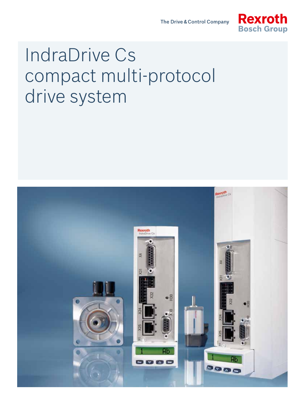

# IndraDrive Cs compact multi-protocol drive system

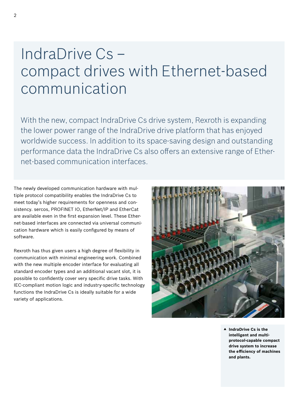## IndraDrive Cs – compact drives with Ethernet-based communication

With the new, compact IndraDrive Cs drive system, Rexroth is expanding the lower power range of the IndraDrive drive platform that has enjoyed worldwide success. In addition to its space-saving design and outstanding performance data the IndraDrive Cs also offers an extensive range of Ethernet-based communication interfaces.

The newly developed communication hardware with multiple protocol compatibility enables the IndraDrive Cs to meet today's higher requirements for openness and consistency. sercos, PROFINET IO, EtherNet/IP and EtherCat are available even in the first expansion level. These Ethernet-based interfaces are connected via universal communication hardware which is easily configured by means of software.

Rexroth has thus given users a high degree of flexibility in communication with minimal engineering work. Combined with the new multiple encoder interface for evaluating all standard encoder types and an additional vacant slot, it is possible to confidently cover very specific drive tasks. With IEC-compliant motion logic and industry-specific technology functions the IndraDrive Cs is ideally suitable for a wide variety of applications.



▲ IndraDrive Cs is the **intelligent and multiprotocol-capable compact drive system to increase the efficiency of machines and plants.**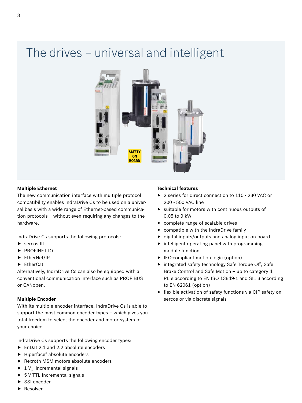## The drives – universal and intelligent



#### **Multiple Ethernet**

The new communication interface with multiple protocol compatibility enables IndraDrive Cs to be used on a universal basis with a wide range of Ethernet-based communication protocols – without even requiring any changes to the hardware.

IndraDrive Cs supports the following protocols:

- $\triangleright$  sercos III
- **PROFINET IO**
- $\blacktriangleright$  EtherNet/IP
- $\blacktriangleright$  EtherCat

Alternatively, IndraDrive Cs can also be equipped with a conventional communication interface such as PROFIBUS or CANopen.

#### **Multiple Encoder**

With its multiple encoder interface, IndraDrive Cs is able to support the most common encoder types – which gives you total freedom to select the encoder and motor system of your choice.

IndraDrive Cs supports the following encoder types:

- $\blacktriangleright$  EnDat 2.1 and 2.2 absolute encoders
- $\blacktriangleright$  Hiperface® absolute encoders
- Rexroth MSM motors absolute encoders
- $\blacktriangleright$  1 V<sub>pp</sub> incremental signals
- $\triangleright$  5 V TTL incremental signals
- SSI encoder
- Resolver

#### **Technical features**

- ▶ 2 series for direct connection to 110 230 VAC or 200 - 500 VAC line
- $\blacktriangleright$  suitable for motors with continuous outputs of 0.05 to 9 kW
- $\blacktriangleright$  complete range of scalable drives
- $\triangleright$  compatible with the IndraDrive family
- $\blacktriangleright$  digital inputs/outputs and analog input on board
- $\blacktriangleright$  intelligent operating panel with programming module function
- $\blacktriangleright$  IEC-compliant motion logic (option)
- $\triangleright$  integrated safety technology Safe Torque Off, Safe Brake Control and Safe Motion – up to category 4, PL e according to EN ISO 13849-1 and SIL 3 according to EN 62061 (option)
- $\blacktriangleright$  flexible activation of safety functions via CIP safety on sercos or via discrete signals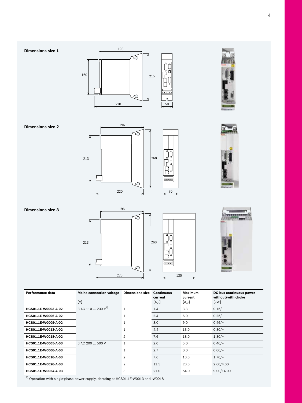268

220 130 130 130 130 130 130 130 130





**Dimensions size 3**





| Performance data    | <b>Mains connection voltage</b><br>[V] | <b>Dimensions size</b> | <b>Continuous</b><br>current<br>$[A_{\text{eff}}]$ | <b>Maximum</b><br>current<br>$[A_{\text{eff}}]$ | DC bus continuous power<br>without/with choke<br>[kW] |
|---------------------|----------------------------------------|------------------------|----------------------------------------------------|-------------------------------------------------|-------------------------------------------------------|
| HCS01.1E-W0003-A-02 | 3 AC 110 $\dots$ 230 V <sup>1)</sup>   | $\mathbf{1}$           | 1.4                                                | 3.3                                             | $0.15/-$                                              |
| HCS01.1E-W0006-A-02 |                                        | 1                      | 2.4                                                | 6.0                                             | $0.25/-$                                              |
| HCS01.1E-W0009-A-02 |                                        |                        | 3.0                                                | 9.0                                             | $0.46/-$                                              |
| HCS01.1E-W0013-A-02 |                                        |                        | 4.4                                                | 13.0                                            | $0.80/-$                                              |
| HCS01.1E-W0018-A-02 |                                        | 2                      | 7.6                                                | 18.0                                            | $1.80/-$                                              |
| HCS01.1E-W0005-A-03 | 3 AC 200  500 V                        | $\mathbf{1}$           | 2.0                                                | 5.0                                             | $0.46/-$                                              |
| HCS01.1E-W0008-A-03 |                                        |                        | 2.7                                                | 8.0                                             | $0.86/-$                                              |
| HCS01.1E-W0018-A-03 |                                        | $\mathfrak{p}$         | 7.6                                                | 18.0                                            | $1.70/-$                                              |
| HCS01.1E-W0028-A-03 |                                        | 2                      | 11.5                                               | 28.0                                            | 2.60/4.00                                             |
| HCS01.1E-W0054-A-03 |                                        | 3                      | 21.0                                               | 54.0                                            | 9.00/14.00                                            |

220 70

Ó

 $^{\,1)}$  Operation with single-phase power supply, derating at HCS01.1E-W0013 and -W0018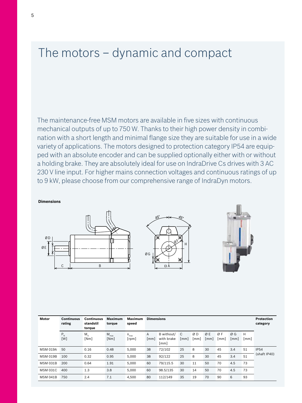### The motors – dynamic and compact

The maintenance-free MSM motors are available in five sizes with continuous mechanical outputs of up to 750 W. Thanks to their high power density in combination with a short length and minimal flange size they are suitable for use in a wide variety of applications. The motors designed to protection category IP54 are equipped with an absolute encoder and can be supplied optionally either with or without a holding brake. They are absolutely ideal for use on IndraDrive Cs drives with 3 AC 230 V line input. For higher mains connection voltages and continuous ratings of up to 9 kW, please choose from our comprehensive range of IndraDyn motors.

**Dimensions**

220 50







| Motor           | <b>Continuous</b><br>rating | <b>Continuous</b><br>standstil<br>torque | <b>Maximum</b><br>torque | Maximum<br>speed                       | <b>Dimensions</b> |                                  |           |            |            |            |                          | <b>Protection</b><br>category |                             |
|-----------------|-----------------------------|------------------------------------------|--------------------------|----------------------------------------|-------------------|----------------------------------|-----------|------------|------------|------------|--------------------------|-------------------------------|-----------------------------|
|                 | $P_{N}$<br>[W]              | $M_{\odot}$<br>[Nm]                      | $M_{\text{max}}$<br>[Nm] | $n_{\text{max}}$<br>[ <sub>rpm</sub> ] | A<br>[mm]         | B without/<br>with brake<br>[mm] | C<br>[mm] | ØΒ<br>[mm] | ØΕ<br>[mm] | ØF<br>[mm] | ØG<br>$\lceil mm \rceil$ | H<br>[mm]                     |                             |
| <b>MSM 019A</b> | 50                          | 0.16                                     | 0.48                     | 5.000                                  | 38                | 72/102                           | 25        | 8          | 30         | 45         | 3.4                      | 51                            | <b>IP54</b><br>(shaft IP40) |
| <b>MSM 019B</b> | 100                         | 0.32                                     | 0.95                     | 5.000                                  | 38                | 92/122                           | 25        | 8          | 30         | 45         | 3.4                      | 51                            |                             |
| <b>MSM 031B</b> | 200                         | 0.64                                     | 1.91                     | 5.000                                  | 60                | 79/115.5                         | 30        | 11         | 50         | 70         | 4.5                      | 73                            |                             |
| <b>MSM 031C</b> | 400                         | 1.3                                      | 3.8                      | 5.000                                  | 60                | 98.5/135                         | 30        | 14         | 50         | 70         | 4.5                      | 73                            |                             |
| <b>MSM 041B</b> | 750                         | 2.4                                      | 7.1                      | 4.500                                  | 80                | 112/149                          | 35        | 19         | 70         | 90         | 6                        | 93                            |                             |